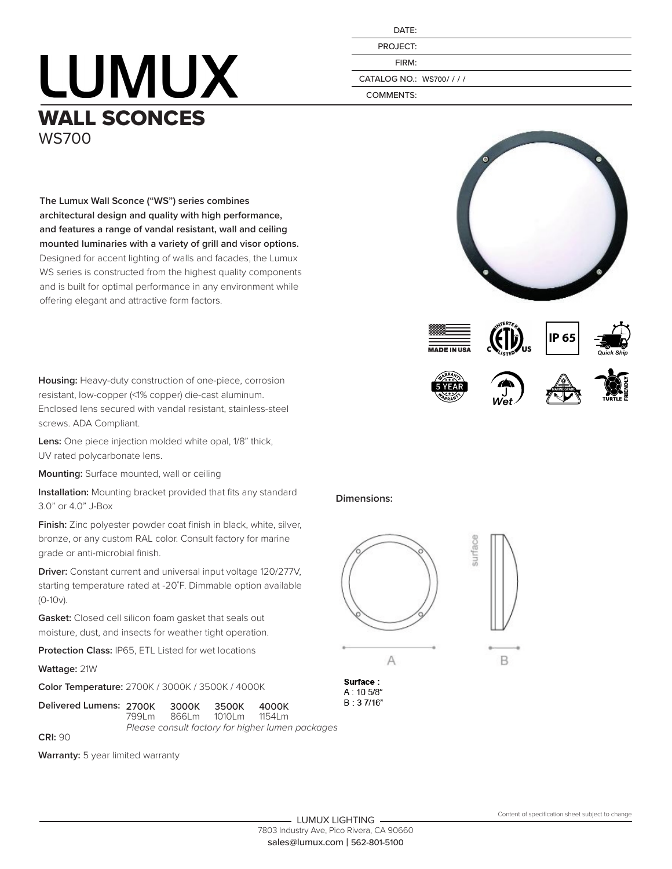## **LUMUX** WALL SCONCES WS700

| DATE:                  |
|------------------------|
| PROJECT:               |
| FIRM:                  |
| CATALOG NO.: WS700//// |
| COMMENTS:              |

**The Lumux Wall Sconce ("WS") series combines architectural design and quality with high performance, and features a range of vandal resistant, wall and ceiling mounted luminaries with a variety of grill and visor options.**  Designed for accent lighting of walls and facades, the Lumux WS series is constructed from the highest quality components and is built for optimal performance in any environment while offering elegant and attractive form factors.

**Housing:** Heavy-duty construction of one-piece, corrosion resistant, low-copper (<1% copper) die-cast aluminum. Enclosed lens secured with vandal resistant, stainless-steel screws. ADA Compliant.

**Lens:** One piece injection molded white opal, 1/8" thick, UV rated polycarbonate lens.

**Mounting:** Surface mounted, wall or ceiling

**Installation:** Mounting bracket provided that fits any standard 3.0" or 4.0" J-Box

**Finish:** Zinc polyester powder coat finish in black, white, silver, bronze, or any custom RAL color. Consult factory for marine grade or anti-microbial finish.

**Driver:** Constant current and universal input voltage 120/277V, starting temperature rated at -20˚F. Dimmable option available (0-10v).

**Gasket:** Closed cell silicon foam gasket that seals out moisture, dust, and insects for weather tight operation.

**Protection Class:** IP65, ETL Listed for wet locations

**Wattage:** 21W

**CRI:** 90

**Color Temperature:** 2700K / 3000K / 3500K / 4000K

**Delivered Lumens: 2700K 3000K 3500K 4000K**<br>799Lm 866Lm 1010Lm 1154Lm 866Lm *Please consult factory for higher lumen packages*

**Warranty:** 5 year limited warranty





 $\overline{A}$ 

 $B: 37/16"$ 





B







**Dimensions:**